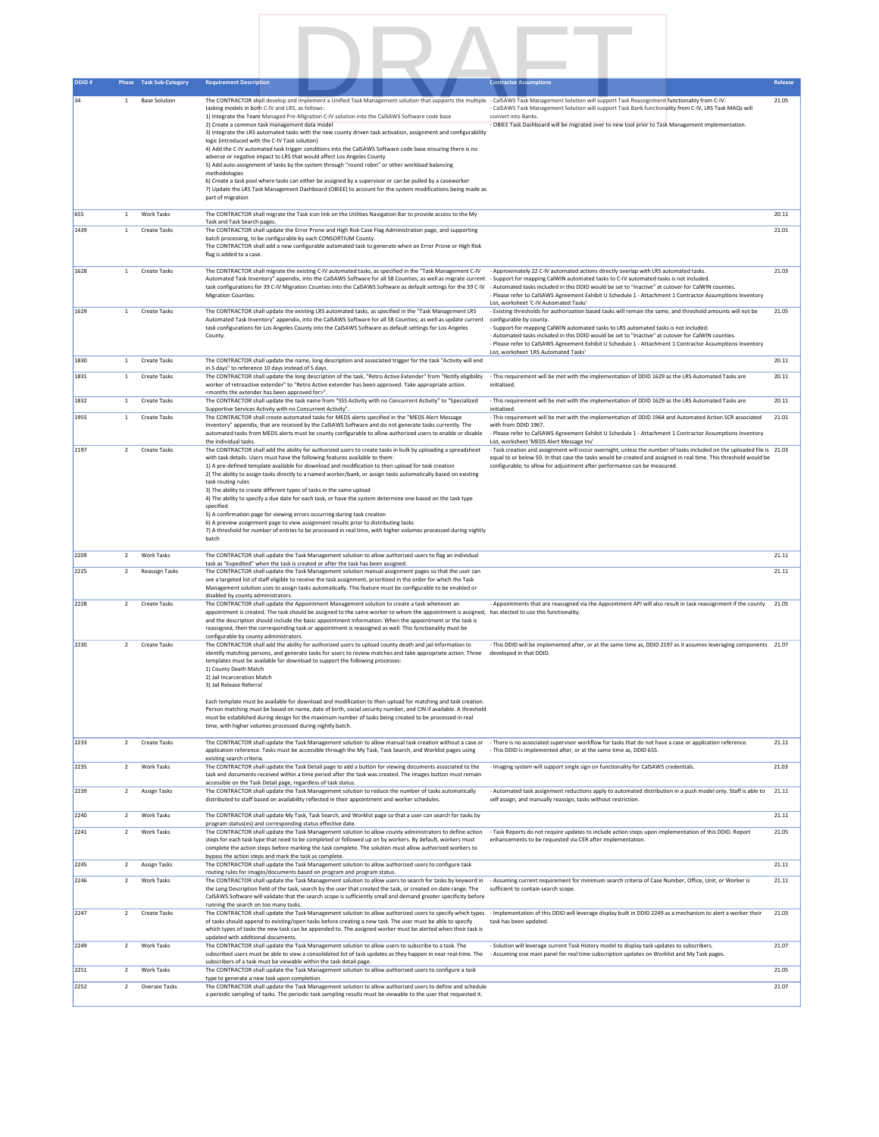

| 34   | 1              | <b>Base Solution</b> | The CONTRACTOR shall develop and implement a Unified Task Management solution that supports the multiple - CalSAWS Task Management Solution will support Task Reassignment functionality from C-IV.<br>tasking models in both C-IV and LRS, as follows:                                                                         | - CalSAWS Task Management Solution will support Task Bank functionality from C-IV, LRS Task MAQs will                                                                                        | 21.05 |
|------|----------------|----------------------|---------------------------------------------------------------------------------------------------------------------------------------------------------------------------------------------------------------------------------------------------------------------------------------------------------------------------------|----------------------------------------------------------------------------------------------------------------------------------------------------------------------------------------------|-------|
|      |                |                      | 1) Integrate the Team Managed Pre-Migration C-IV solution into the CalSAWS Software code base                                                                                                                                                                                                                                   | convert into Banks                                                                                                                                                                           |       |
|      |                |                      | 2) Create a common task management data model<br>3) Integrate the LRS automated tasks with the new county driven task activation, assignment and configurability                                                                                                                                                                | - OBIEE Task Dashboard will be migrated over to new tool prior to Task Management implementation.                                                                                            |       |
|      |                |                      | logic (introduced with the C-IV Task solution)<br>4) Add the C-IV automated task trigger conditions into the CalSAWS Software code base ensuring there is no                                                                                                                                                                    |                                                                                                                                                                                              |       |
|      |                |                      | adverse or negative impact to LRS that would affect Los Angeles County<br>5) Add auto-assignment of tasks by the system through "round robin" or other workload balancing                                                                                                                                                       |                                                                                                                                                                                              |       |
|      |                |                      | methodologies                                                                                                                                                                                                                                                                                                                   |                                                                                                                                                                                              |       |
|      |                |                      | 6) Create a task pool where tasks can either be assigned by a supervisor or can be pulled by a caseworker<br>7) Update the LRS Task Management Dashboard (OBIEE) to account for the system modifications being made as                                                                                                          |                                                                                                                                                                                              |       |
|      |                |                      | part of migration                                                                                                                                                                                                                                                                                                               |                                                                                                                                                                                              |       |
| 655  | 1              | <b>Work Tasks</b>    | The CONTRACTOR shall migrate the Task icon link on the Utilities Navigation Bar to provide access to the My                                                                                                                                                                                                                     |                                                                                                                                                                                              | 20.11 |
| 1439 | $\mathbf{1}$   | Create Tasks         | Task and Task Search pages.<br>The CONTRACTOR shall update the Error Prone and High Risk Case Flag Administration page, and supporting                                                                                                                                                                                          |                                                                                                                                                                                              | 21.01 |
|      |                |                      | batch processing, to be configurable by each CONSORTIUM County.<br>The CONTRACTOR shall add a new configurable automated task to generate when an Error Prone or High Risk                                                                                                                                                      |                                                                                                                                                                                              |       |
|      |                |                      | flag is added to a case.                                                                                                                                                                                                                                                                                                        |                                                                                                                                                                                              |       |
| 1628 | $\mathbf{1}$   | Create Tasks         | The CONTRACTOR shall migrate the existing C-IV automated tasks, as specified in the "Task Management C-IV                                                                                                                                                                                                                       | - Approximately 22 C-IV automated actions directly overlap with LRS automated tasks.                                                                                                         | 21.03 |
|      |                |                      | Automated Task Inventory" appendix, into the CalSAWS Software for all 58 Counties; as well as migrate current - Support for mapping CalWIN automated tasks to C-IV automated tasks is not included.<br>task configurations for 39 C-IV Migration Counties into the CalSAWS Software as default settings for the 39 C-IV         | - Automated tasks included in this DDID would be set to "Inactive" at cutover for CalWIN counties.                                                                                           |       |
|      |                |                      | <b>Migration Counties.</b>                                                                                                                                                                                                                                                                                                      | Please refer to CalSAWS Agreement Exhibit U Schedule 1 - Attachment 1 Contractor Assumptions Inventory                                                                                       |       |
| 1629 | $\mathbf{1}$   | <b>Create Tasks</b>  | The CONTRACTOR shall update the existing LRS automated tasks, as specified in the "Task Management LRS                                                                                                                                                                                                                          | List, worksheet 'C-IV Automated Tasks'<br>- Existing thresholds for authorization based tasks will remain the same, and threshold amounts will not be                                        | 21.05 |
|      |                |                      | Automated Task Inventory" appendix, into the CalSAWS Software for all 58 Counties; as well as update current<br>task configurations for Los Angeles County into the CalSAWS Software as default settings for Los Angeles                                                                                                        | configurable by county.<br>- Support for mapping CalWIN automated tasks to LRS automated tasks is not included.                                                                              |       |
|      |                |                      | County.                                                                                                                                                                                                                                                                                                                         | - Automated tasks included in this DDID would be set to "Inactive" at cutover for CalWIN counties.                                                                                           |       |
|      |                |                      |                                                                                                                                                                                                                                                                                                                                 | - Please refer to CalSAWS Agreement Exhibit U Schedule 1 - Attachment 1 Contractor Assumptions Inventory<br>List, worksheet 'LRS Automated Tasks'                                            |       |
| 1830 | $\mathbf{1}$   | <b>Create Tasks</b>  | The CONTRACTOR shall update the name, long description and associated trigger for the task "Activity will end<br>in 5 days" to reference 10 days instead of 5 days.                                                                                                                                                             |                                                                                                                                                                                              | 20.11 |
| 1831 | $\mathbf{1}$   | <b>Create Tasks</b>  | The CONTRACTOR shall update the long description of the task, "Retro Active Extender" from "Notify eligibility<br>worker of retroactive extender" to "Retro Active extender has been approved. Take appropriate action.                                                                                                         | - This requirement will be met with the implementation of DDID 1629 as the LRS Automated Tasks are<br>initialized.                                                                           | 20.11 |
|      |                |                      | <months approved="" been="" extender="" for="" has="" the="">".</months>                                                                                                                                                                                                                                                        |                                                                                                                                                                                              |       |
| 1832 | $\mathbf{1}$   | Create Tasks         | The CONTRACTOR shall update the task name from "SSS Activity with no Concurrent Activity" to "Specialized<br>Supportive Services Activity with no Concurrent Activity".                                                                                                                                                         | - This requirement will be met with the implementation of DDID 1629 as the LRS Automated Tasks are<br>initialized.                                                                           | 20.11 |
| 1955 | $\mathbf{1}$   | <b>Create Tasks</b>  | The CONTRACTOR shall create automated tasks for MEDS alerts specified in the "MEDS Alert Message<br>Inventory" appendix, that are received by the CalSAWS Software and do not generate tasks currently. The                                                                                                                     | - This requirement will be met with the implementation of DDID 1964 and Automated Action SCR associated<br>with from DDID 1967.                                                              | 21.01 |
|      |                |                      | automated tasks from MEDS alerts must be county configurable to allow authorized users to enable or disable                                                                                                                                                                                                                     | - Please refer to CalSAWS Agreement Exhibit U Schedule 1 - Attachment 1 Contractor Assumptions Inventory                                                                                     |       |
| 2197 | $\overline{2}$ | <b>Create Tasks</b>  | the individual tasks.<br>The CONTRACTOR shall add the ability for authorized users to create tasks in bulk by uploading a spreadsheet                                                                                                                                                                                           | List, worksheet 'MEDS Alert Message Inv'<br>- Task creation and assignment will occur overnight, unless the number of tasks included on the uploaded file is 21.03                           |       |
|      |                |                      | with task details. Users must have the following features available to them:<br>1) A pre-defined template available for download and modification to then upload for task creation                                                                                                                                              | equal to or below 50. In that case the tasks would be created and assigned in real time. This threshold would be<br>configurable, to allow for adjustment after performance can be measured. |       |
|      |                |                      | 2) The ability to assign tasks directly to a named worker/bank, or assign tasks automatically based on existing                                                                                                                                                                                                                 |                                                                                                                                                                                              |       |
|      |                |                      | task routing rules<br>3) The ability to create different types of tasks in the same upload                                                                                                                                                                                                                                      |                                                                                                                                                                                              |       |
|      |                |                      | 4) The ability to specify a due date for each task, or have the system determine one based on the task type<br>specified                                                                                                                                                                                                        |                                                                                                                                                                                              |       |
|      |                |                      | 5) A confirmation page for viewing errors occurring during task creation                                                                                                                                                                                                                                                        |                                                                                                                                                                                              |       |
|      |                |                      | 6) A preview assignment page to view assignment results prior to distributing tasks<br>7) A threshold for number of entries to be processed in real time, with higher volumes processed during nightly                                                                                                                          |                                                                                                                                                                                              |       |
|      |                |                      | batch                                                                                                                                                                                                                                                                                                                           |                                                                                                                                                                                              |       |
| 2209 | $\overline{2}$ | Work Tasks           | The CONTRACTOR shall update the Task Management solution to allow authorized users to flag an individual                                                                                                                                                                                                                        |                                                                                                                                                                                              | 21.11 |
| 2225 | $\overline{2}$ | Reassign Tasks       | task as "Expedited" when the task is created or after the task has been assigned.<br>The CONTRACTOR shall update the Task Management solution manual assignment pages so that the user can                                                                                                                                      |                                                                                                                                                                                              | 21.11 |
|      |                |                      | see a targeted list of staff eligible to receive the task assignment, prioritized in the order for which the Task<br>Management solution uses to assign tasks automatically. This feature must be configurable to be enabled or                                                                                                 |                                                                                                                                                                                              |       |
| 2228 | $\overline{2}$ | <b>Create Tasks</b>  | disabled by county administrators.<br>The CONTRACTOR shall update the Appointment Management solution to create a task whenever an                                                                                                                                                                                              | - Appointments that are reassigned via the Appointment API will also result in task reassignment if the county                                                                               | 21.05 |
|      |                |                      | appointment is created. The task should be assigned to the same worker to whom the appointment is assigned, has elected to use this functionality.                                                                                                                                                                              |                                                                                                                                                                                              |       |
|      |                |                      | and the description should include the basic appointment information. When the appointment or the task is<br>reassigned, then the corresponding task or appointment is reassigned as well. This functionality must be                                                                                                           |                                                                                                                                                                                              |       |
| 2230 | $\overline{2}$ | <b>Create Tasks</b>  | configurable by county administrators.<br>The CONTRACTOR shall add the ability for authorized users to upload county death and jail information to                                                                                                                                                                              | - This DDID will be implemented after, or at the same time as, DDID 2197 as it assumes leveraging components 21.07                                                                           |       |
|      |                |                      | identify matching persons, and generate tasks for users to review matches and take appropriate action. Three                                                                                                                                                                                                                    | developed in that DDID.                                                                                                                                                                      |       |
|      |                |                      | templates must be available for download to support the following processes:<br>1) County Death Match                                                                                                                                                                                                                           |                                                                                                                                                                                              |       |
|      |                |                      | 2) Jail Incarceration Match<br>3) Jail Release Referral                                                                                                                                                                                                                                                                         |                                                                                                                                                                                              |       |
|      |                |                      |                                                                                                                                                                                                                                                                                                                                 |                                                                                                                                                                                              |       |
|      |                |                      | Each template must be available for download and modification to then upload for matching and task creation.<br>Person matching must be based on name, date of birth, social security number, and CIN if available. A threshold                                                                                                 |                                                                                                                                                                                              |       |
|      |                |                      | must be established during design for the maximum number of tasks being created to be processed in real<br>time, with higher volumes processed during nightly batch.                                                                                                                                                            |                                                                                                                                                                                              |       |
|      |                |                      |                                                                                                                                                                                                                                                                                                                                 |                                                                                                                                                                                              |       |
| 2233 | $\overline{2}$ | Create Tasks         | The CONTRACTOR shall update the Task Management solution to allow manual task creation without a case or - There is no associated supervisor workflow for tasks that do not have a case or application reference.<br>application reference. Tasks must be accessible through the My Task, Task Search, and Worklist pages using | - This DDID is implemented after, or at the same time as, DDID 655.                                                                                                                          | 21.11 |
| 2235 | $\overline{2}$ | <b>Work Tasks</b>    | existing search criteria.<br>The CONTRACTOR shall update the Task Detail page to add a button for viewing documents associated to the                                                                                                                                                                                           | - Imaging system will support single sign on functionality for CalSAWS credentials.                                                                                                          | 21.03 |
|      |                |                      | task and documents received within a time period after the task was created. The images button must remain<br>accessible on the Task Detail page, regardless of task status.                                                                                                                                                    |                                                                                                                                                                                              |       |
| 2239 | $\overline{2}$ | Assign Tasks         | The CONTRACTOR shall update the Task Management solution to reduce the number of tasks automatically                                                                                                                                                                                                                            | - Automated task assignment reductions apply to automated distribution in a push model only. Staff is able to                                                                                | 21.11 |
|      |                |                      | distributed to staff based on availability reflected in their appointment and worker schedules.                                                                                                                                                                                                                                 | self assign, and manually reassign, tasks without restriction.                                                                                                                               |       |
| 2240 | $\overline{2}$ | <b>Work Tasks</b>    | The CONTRACTOR shall update My Task, Task Search, and Worklist page so that a user can search for tasks by<br>program status(es) and corresponding status effective date.                                                                                                                                                       |                                                                                                                                                                                              | 21.11 |
| 2241 | $\overline{2}$ | Work Tasks           | The CONTRACTOR shall update the Task Management solution to allow county administrators to define action                                                                                                                                                                                                                        | - Task Reports do not require updates to include action steps upon implementation of this DDID. Report                                                                                       | 21.05 |
|      |                |                      | steps for each task type that need to be completed or followed up on by workers. By default, workers must<br>complete the action steps before marking the task complete. The solution must allow authorized workers to                                                                                                          | enhancements to be requested via CER after implementation.                                                                                                                                   |       |
| 2245 | $\overline{2}$ | Assign Tasks         | bypass the action steps and mark the task as complete.<br>The CONTRACTOR shall update the Task Management solution to allow authorized users to configure task                                                                                                                                                                  |                                                                                                                                                                                              | 21.11 |
|      |                |                      | routing rules for images/documents based on program and program status.                                                                                                                                                                                                                                                         |                                                                                                                                                                                              |       |
| 2246 | $\overline{2}$ | Work Tasks           | The CONTRACTOR shall update the Task Management solution to allow users to search for tasks by keyword in<br>the Long Description field of the task, search by the user that created the task, or created on date range. The                                                                                                    | - Assuming current requirement for minimum search criteria of Case Number, Office, Unit, or Worker is<br>sufficient to contain search scope.                                                 | 21.11 |
|      |                |                      | CalSAWS Software will validate that the search scope is sufficiently small and demand greater specificity before                                                                                                                                                                                                                |                                                                                                                                                                                              |       |
| 2247 | $\overline{2}$ | Create Tasks         | running the search on too many tasks.<br>The CONTRACTOR shall update the Task Management solution to allow authorized users to specify which types - Implementation of this DDID will leverage display built in DDID 2249 as a mechanism to alert a worker their                                                                |                                                                                                                                                                                              | 21.03 |
|      |                |                      | of tasks should append to existing/open tasks before creating a new task. The user must be able to specify<br>which types of tasks the new task can be appended to. The assigned worker must be alerted when their task is                                                                                                      | task has been updated.                                                                                                                                                                       |       |
|      |                |                      | updated with additional documents.                                                                                                                                                                                                                                                                                              |                                                                                                                                                                                              |       |
| 2249 | $\overline{2}$ | Work Tasks           | The CONTRACTOR shall update the Task Management solution to allow users to subscribe to a task. The<br>subscribed users must be able to view a consolidated list of task updates as they happen in near real-time. The                                                                                                          | - Solution will leverage current Task History model to display task updates to subscribers.<br>- Assuming one main panel for real time subscription updates on Worklist and My Task pages.   | 21.07 |
| 2251 | $\overline{2}$ | <b>Work Tasks</b>    | subscribers of a task must be viewable within the task detail page.<br>The CONTRACTOR shall update the Task Management solution to allow authorized users to configure a task                                                                                                                                                   |                                                                                                                                                                                              | 21.05 |
| 2252 | $\overline{2}$ | Oversee Tasks        | type to generate a new task upon completion.<br>The CONTRACTOR shall update the Task Management solution to allow authorized users to define and schedule                                                                                                                                                                       |                                                                                                                                                                                              | 21.07 |
|      |                |                      | a periodic sampling of tasks. The periodic task sampling results must be viewable to the user that requested it.                                                                                                                                                                                                                |                                                                                                                                                                                              |       |